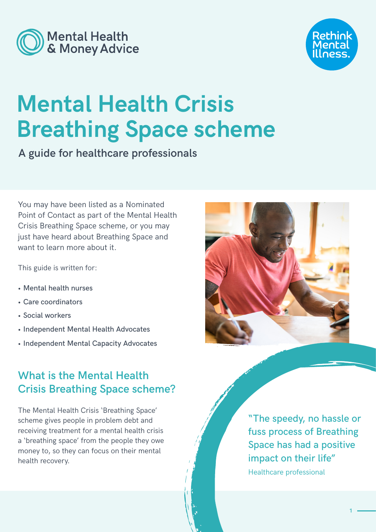



# **Mental Health Crisis Breathing Space scheme**

**A guide for healthcare professionals**

You may have been listed as a Nominated Point of Contact as part of the Mental Health Crisis Breathing Space scheme, or you may just have heard about Breathing Space and want to learn more about it.

This guide is written for:

- Mental health nurses
- Care coordinators
- Social workers
- Independent Mental Health Advocates
- Independent Mental Capacity Advocates

# **What is the Mental Health Crisis Breathing Space scheme?**

The Mental Health Crisis 'Breathing Space' scheme gives people in problem debt and receiving treatment for a mental health crisis a 'breathing space' from the people they owe money to, so they can focus on their mental health recovery.



"The speedy, no hassle or fuss process of Breathing Space has had a positive impact on their life" Healthcare professional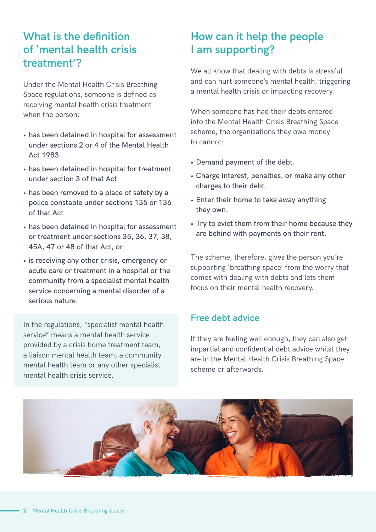### **What is the definition of 'mental health crisis treatment'?**

Under the Mental Health Crisis Breathing Space regulations, someone is defined as receiving mental health crisis treatment when the person:

- has been detained in hospital for assessment under sections 2 or 4 of the Mental Health Act 1983
- has been detained in hospital for treatment under section 3 of that Act
- has been removed to a place of safety by a police constable under sections 135 or 136 of that Act
- has been detained in hospital for assessment or treatment under sections 35, 36, 37, 38, 45A, 47 or 48 of that Act, or
- is receiving any other crisis, emergency or acute care or treatment in a hospital or the community from a specialist mental health service concerning a mental disorder of a serious nature.

In the regulations, "specialist mental health service" means a mental health service provided by a crisis home treatment team, a liaison mental health team, a community mental health team or any other specialist mental health crisis service.

# **How can it help the people I am supporting?**

We all know that dealing with debts is stressful and can hurt someone's mental health, triggering a mental health crisis or impacting recovery.

When someone has had their debts entered into the Mental Health Crisis Breathing Space scheme, the organisations they owe money to cannot:

- Demand payment of the debt.
- Charge interest, penalties, or make any other charges to their debt.
- Enter their home to take away anything they own.
- Try to evict them from their home because they are behind with payments on their rent.

The scheme, therefore, gives the person you're supporting 'breathing space' from the worry that comes with dealing with debts and lets them focus on their mental health recovery.

#### **Free debt advice**

If they are feeling well enough, they can also get impartial and confidential debt advice whilst they are in the Mental Health Crisis Breathing Space scheme or afterwards.

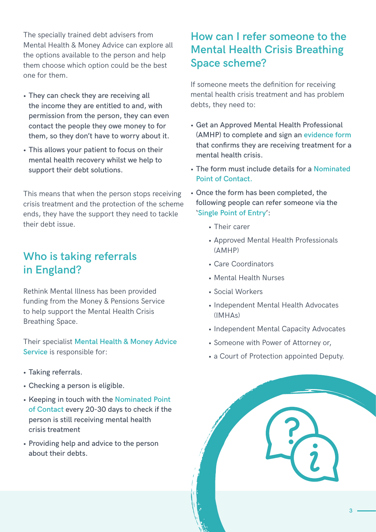The specially trained debt advisers from Mental Health & Money Advice can explore all the options available to the person and help them choose which option could be the best one for them.

- They can check they are receiving all the income they are entitled to and, with permission from the person, they can even contact the people they owe money to for them, so they don't have to worry about it.
- This allows your patient to focus on their mental health recovery whilst we help to support their debt solutions.

This means that when the person stops receiving crisis treatment and the protection of the scheme ends, they have the support they need to tackle their debt issue.

### **Who is taking referrals in England?**

Rethink Mental Illness has been provided funding from the Money & Pensions Service to help support the Mental Health Crisis Breathing Space.

Their specialist **[Mental Health & Money Advice](https://www.mentalhealthandmoneyadvice.org/en/)  [Service](https://www.mentalhealthandmoneyadvice.org/en/)** is responsible for:

- Taking referrals.
- Checking a person is eligible.
- Keeping in touch with the **[Nominated Point](#page-3-0)  [of Contact](#page-3-0)** every 20-30 days to check if the person is still receiving mental health crisis treatment
- Providing help and advice to the person about their debts.

### **How can I refer someone to the Mental Health Crisis Breathing Space scheme?**

If someone meets the definition for receiving mental health crisis treatment and has problem debts, they need to:

- Get an Approved Mental Health Professional (AMHP) to complete and sign an **[evidence form](https://assets.publishing.service.gov.uk/government/uploads/system/uploads/attachment_data/file/984102/Debt_respite_scheme_form2-2__003_.pdf)** that confirms they are receiving treatment for a mental health crisis.
- The form must include details for a **[Nominated](#page-3-0)  [Point of Contact.](#page-3-0)**
- Once the form has been completed, the following people can refer someone via the '**[Single Point of Entry](https://breathingspace.zentsocloud.com/AdvicePro/BreathingSpaceReferral)**':
	- Their carer
	- Approved Mental Health Professionals (AMHP)
	- Care Coordinators
	- Mental Health Nurses
	- Social Workers
	- Independent Mental Health Advocates (IMHAs)
	- Independent Mental Capacity Advocates
	- Someone with Power of Attorney or,
	- a Court of Protection appointed Deputy.